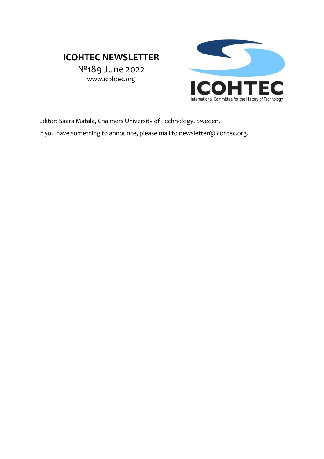# **ICOHTEC NEWSLETTER**

№189 June 2022 www.icohtec.org



Editor: Saara Matala, Chalmers University of Technology, Sweden.

If you have something to announce, please mail to newsletter@icohtec.org.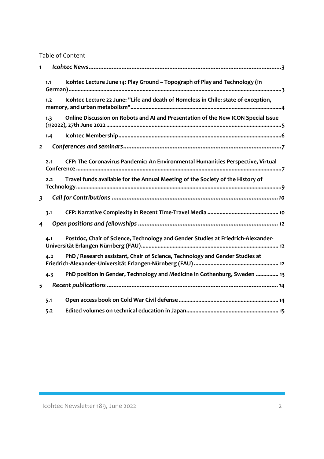Table of Content

| $\mathbf{1}$            |                                                                                           |  |
|-------------------------|-------------------------------------------------------------------------------------------|--|
|                         | Icohtec Lecture June 14: Play Ground - Topograph of Play and Technology (in<br>1.1        |  |
|                         | Icohtec Lecture 22 June: "Life and death of Homeless in Chile: state of exception,<br>1.2 |  |
|                         | Online Discussion on Robots and AI and Presentation of the New ICON Special Issue<br>1.3  |  |
|                         | 1.4                                                                                       |  |
|                         | $\overline{2}$                                                                            |  |
|                         | CFP: The Coronavirus Pandemic: An Environmental Humanities Perspective, Virtual<br>2.1    |  |
|                         | Travel funds available for the Annual Meeting of the Society of the History of<br>2.2     |  |
| $\overline{\mathbf{3}}$ |                                                                                           |  |
|                         | 3.1                                                                                       |  |
| $\overline{4}$          |                                                                                           |  |
|                         | Postdoc, Chair of Science, Technology and Gender Studies at Friedrich-Alexander-<br>4.1   |  |
|                         | PhD / Research assistant, Chair of Science, Technology and Gender Studies at<br>4.2       |  |
|                         | PhD position in Gender, Technology and Medicine in Gothenburg, Sweden  13<br>4.3          |  |
|                         | 5                                                                                         |  |
|                         | 5.1                                                                                       |  |
|                         | 5.2                                                                                       |  |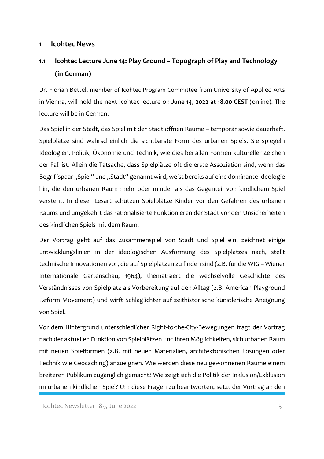#### **1 Icohtec News**

## **1.1 Icohtec Lecture June 14: Play Ground – Topograph of Play and Technology (in German)**

Dr. Florian Bettel, member of Icohtec Program Committee from University of Applied Arts in Vienna, will hold the next Icohtec lecture on **June 14, 2022 at 18.00 CEST** (online). The lecture will be in German.

Das Spiel in der Stadt, das Spiel mit der Stadt öffnen Räume – temporär sowie dauerhaft. Spielplätze sind wahrscheinlich die sichtbarste Form des urbanen Spiels. Sie spiegeln Ideologien, Politik, Ökonomie und Technik, wie dies bei allen Formen kultureller Zeichen der Fall ist. Allein die Tatsache, dass Spielplätze oft die erste Assoziation sind, wenn das Begriffspaar "Spiel" und "Stadt" genannt wird, weist bereits auf eine dominante Ideologie hin, die den urbanen Raum mehr oder minder als das Gegenteil von kindlichem Spiel versteht. In dieser Lesart schützen Spielplätze Kinder vor den Gefahren des urbanen Raums und umgekehrt das rationalisierte Funktionieren der Stadt vor den Unsicherheiten des kindlichen Spiels mit dem Raum.

Der Vortrag geht auf das Zusammenspiel von Stadt und Spiel ein, zeichnet einige Entwicklungslinien in der ideologischen Ausformung des Spielplatzes nach, stellt technische Innovationen vor, die auf Spielplätzen zu finden sind (z.B. für die WIG – Wiener Internationale Gartenschau, 1964), thematisiert die wechselvolle Geschichte des Verständnisses von Spielplatz als Vorbereitung auf den Alltag (z.B. American Playground Reform Movement) und wirft Schlaglichter auf zeithistorische künstlerische Aneignung von Spiel.

Vor dem Hintergrund unterschiedlicher Right-to-the-City-Bewegungen fragt der Vortrag nach der aktuellen Funktion von Spielplätzen und ihren Möglichkeiten, sich urbanen Raum mit neuen Spielformen (z.B. mit neuen Materialien, architektonischen Lösungen oder Technik wie Geocaching) anzueignen. Wie werden diese neu gewonnenen Räume einem breiteren Publikum zugänglich gemacht? Wie zeigt sich die Politik der Inklusion/Exklusion im urbanen kindlichen Spiel? Um diese Fragen zu beantworten, setzt der Vortrag an den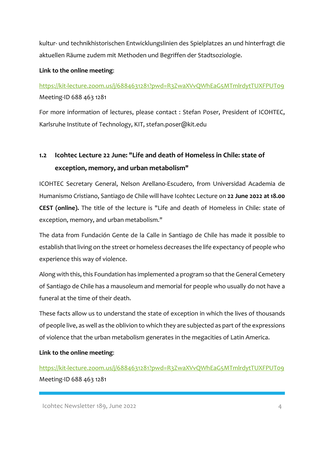kultur- und technikhistorischen Entwicklungslinien des Spielplatzes an und hinterfragt die aktuellen Räume zudem mit Methoden und Begriffen der Stadtsoziologie.

### **Link to the online meeting**:

## https://kit-lecture.zoom.us/j/6884631281?pwd=R3ZwaXVvQWhEaG5MTmlrdytTUXFPUT09 Meeting-ID 688 463 1281

For more information of lectures, please contact : Stefan Poser, President of ICOHTEC, Karlsruhe Institute of Technology, KIT, stefan.poser@kit.edu

# **1.2 Icohtec Lecture 22 June: "Life and death of Homeless in Chile: state of exception, memory, and urban metabolism"**

ICOHTEC Secretary General, Nelson Arellano-Escudero, from Universidad Academia de Humanismo Cristiano, Santiago de Chile will have Icohtec Lecture on **22 June 2022 at 18.00 CEST (online).** The title of the lecture is "Life and death of Homeless in Chile: state of exception, memory, and urban metabolism."

The data from Fundación Gente de la Calle in Santiago de Chile has made it possible to establish that living on the street or homeless decreases the life expectancy of people who experience this way of violence.

Along with this, this Foundation has implemented a program so that the General Cemetery of Santiago de Chile has a mausoleum and memorial for people who usually do not have a funeral at the time of their death.

These facts allow us to understand the state of exception in which the lives of thousands of people live, as well as the oblivion to which they are subjected as part of the expressions of violence that the urban metabolism generates in the megacities of Latin America.

**Link to the online meeting**:

https://kit-lecture.zoom.us/j/6884631281?pwd=R3ZwaXVvQWhEaG5MTmlrdytTUXFPUT09 Meeting-ID 688 463 1281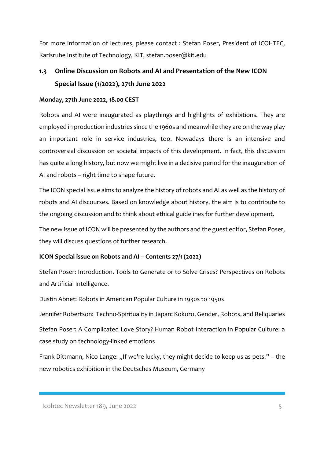For more information of lectures, please contact : Stefan Poser, President of ICOHTEC, Karlsruhe Institute of Technology, KIT, stefan.poser@kit.edu

# **1.3 Online Discussion on Robots and AI and Presentation of the New ICON Special Issue (1/2022), 27th June 2022**

### **Monday, 27th June 2022, 18.00 CEST**

Robots and AI were inaugurated as playthings and highlights of exhibitions. They are employed in production industries since the 1960s and meanwhile they are on the way play an important role in service industries, too. Nowadays there is an intensive and controversial discussion on societal impacts of this development. In fact, this discussion has quite a long history, but now we might live in a decisive period for the inauguration of AI and robots – right time to shape future.

The ICON special issue aims to analyze the history of robots and AI as well as the history of robots and AI discourses. Based on knowledge about history, the aim is to contribute to the ongoing discussion and to think about ethical guidelines for further development.

The new issue of ICON will be presented by the authors and the guest editor, Stefan Poser, they will discuss questions of further research.

### **ICON Special issue on Robots and AI – Contents 27/1 (2022)**

Stefan Poser: Introduction. Tools to Generate or to Solve Crises? Perspectives on Robots and Artificial Intelligence.

Dustin Abnet: Robots in American Popular Culture in 1930s to 1950s

Jennifer Robertson: Techno-Spirituality in Japan: Kokoro, Gender, Robots, and Reliquaries

Stefan Poser: A Complicated Love Story? Human Robot Interaction in Popular Culture: a case study on technology-linked emotions

Frank Dittmann, Nico Lange: "If we're lucky, they might decide to keep us as pets." – the new robotics exhibition in the Deutsches Museum, Germany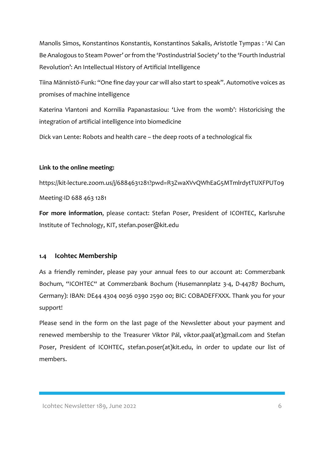Manolis Simos, Konstantinos Konstantis, Konstantinos Sakalis, Aristotle Tympas : 'AI Can Be Analogous to Steam Power' or from the 'Postindustrial Society' to the 'Fourth Industrial Revolution': An Intellectual History of Artificial Intelligence

Tiina Männistö-Funk: "One fine day your car will also start to speak". Automotive voices as promises of machine intelligence

Katerina Vlantoni and Kornilia Papanastasiou: 'Live from the womb': Historicising the integration of artificial intelligence into biomedicine

Dick van Lente: Robots and health care – the deep roots of a technological fix

#### **Link to the online meeting:**

https://kit-lecture.zoom.us/j/6884631281?pwd=R3ZwaXVvQWhEaG5MTmlrdytTUXFPUT09 Meeting-ID 688 463 1281

**For more information**, please contact: Stefan Poser, President of ICOHTEC, Karlsruhe Institute of Technology, KIT, stefan.poser@kit.edu

#### **1.4 Icohtec Membership**

As a friendly reminder, please pay your annual fees to our account at: Commerzbank Bochum, "ICOHTEC" at Commerzbank Bochum (Husemannplatz 3-4, D-44787 Bochum, Germany): IBAN: DE44 4304 0036 0390 2590 00; BIC: COBADEFFXXX. Thank you for your support!

Please send in the form on the last page of the Newsletter about your payment and renewed membership to the Treasurer Viktor Pál, viktor.paal(at)gmail.com and Stefan Poser, President of ICOHTEC, stefan.poser(at)kit.edu, in order to update our list of members.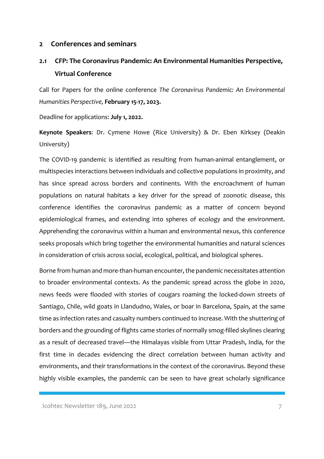#### **2 Conferences and seminars**

### **2.1 CFP: The Coronavirus Pandemic: An Environmental Humanities Perspective, Virtual Conference**

Call for Papers for the online conference *The Coronavirus Pandemic: An Environmental Humanities Perspective,* **February 15-17, 2023.**

Deadline for applications: **July 1, 2022.**

**Keynote Speakers**: Dr. Cymene Howe (Rice University) & Dr. Eben Kirksey (Deakin University)

The COVID-19 pandemic is identified as resulting from human-animal entanglement, or multispecies interactions between individuals and collective populations in proximity, and has since spread across borders and continents. With the encroachment of human populations on natural habitats a key driver for the spread of zoonotic disease, this conference identifies the coronavirus pandemic as a matter of concern beyond epidemiological frames, and extending into spheres of ecology and the environment. Apprehending the coronavirus within a human and environmental nexus, this conference seeks proposals which bring together the environmental humanities and natural sciences in consideration of crisis across social, ecological, political, and biological spheres.

Borne from human and more-than-human encounter, the pandemic necessitates attention to broader environmental contexts. As the pandemic spread across the globe in 2020, news feeds were flooded with stories of cougars roaming the locked-down streets of Santiago, Chile, wild goats in Llandudno, Wales, or boar in Barcelona, Spain, at the same time as infection rates and casualty numbers continued to increase. With the shuttering of borders and the grounding of flights came stories of normally smog-filled skylines clearing as a result of decreased travel—the Himalayas visible from Uttar Pradesh, India, for the first time in decades evidencing the direct correlation between human activity and environments, and their transformations in the context of the coronavirus. Beyond these highly visible examples, the pandemic can be seen to have great scholarly significance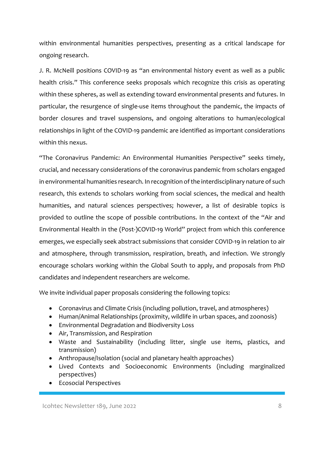within environmental humanities perspectives, presenting as a critical landscape for ongoing research.

J. R. McNeill positions COVID-19 as "an environmental history event as well as a public health crisis." This conference seeks proposals which recognize this crisis as operating within these spheres, as well as extending toward environmental presents and futures. In particular, the resurgence of single-use items throughout the pandemic, the impacts of border closures and travel suspensions, and ongoing alterations to human/ecological relationships in light of the COVID-19 pandemic are identified as important considerations within this nexus.

"The Coronavirus Pandemic: An Environmental Humanities Perspective" seeks timely, crucial, and necessary considerations of the coronavirus pandemic from scholars engaged in environmental humanities research. In recognition of the interdisciplinary nature of such research, this extends to scholars working from social sciences, the medical and health humanities, and natural sciences perspectives; however, a list of desirable topics is provided to outline the scope of possible contributions. In the context of the "Air and Environmental Health in the (Post-)COVID-19 World" project from which this conference emerges, we especially seek abstract submissions that consider COVID-19 in relation to air and atmosphere, through transmission, respiration, breath, and infection. We strongly encourage scholars working within the Global South to apply, and proposals from PhD candidates and independent researchers are welcome.

We invite individual paper proposals considering the following topics:

- Coronavirus and Climate Crisis (including pollution, travel, and atmospheres)
- Human/Animal Relationships (proximity, wildlife in urban spaces, and zoonosis)
- Environmental Degradation and Biodiversity Loss
- Air, Transmission, and Respiration
- Waste and Sustainability (including litter, single use items, plastics, and transmission)
- Anthropause/Isolation (social and planetary health approaches)
- Lived Contexts and Socioeconomic Environments (including marginalized perspectives)
- Ecosocial Perspectives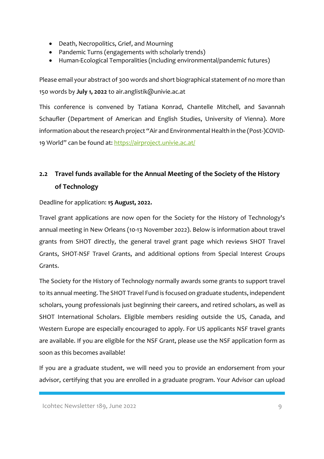- Death, Necropolitics, Grief, and Mourning
- Pandemic Turns (engagements with scholarly trends)
- Human-Ecological Temporalities (including environmental/pandemic futures)

Please email your abstract of 300 words and short biographical statement of no more than 150 words by **July 1, 2022** to air.anglistik@univie.ac.at

This conference is convened by Tatiana Konrad, Chantelle Mitchell, and Savannah Schaufler (Department of American and English Studies, University of Vienna). More information about the research project "Air and Environmental Health in the (Post-)COVID-19 World" can be found at: https://airproject.univie.ac.at/

# **2.2 Travel funds available for the Annual Meeting of the Society of the History of Technology**

Deadline for application: **15 August, 2022.**

Travel grant applications are now open for the Society for the History of Technology's annual meeting in New Orleans (10-13 November 2022). Below is information about travel grants from SHOT directly, the general travel grant page which reviews SHOT Travel Grants, SHOT-NSF Travel Grants, and additional options from Special Interest Groups Grants.

The Society for the History of Technology normally awards some grants to support travel to its annual meeting. The SHOT Travel Fund is focused on graduate students, independent scholars, young professionals just beginning their careers, and retired scholars, as well as SHOT International Scholars. Eligible members residing outside the US, Canada, and Western Europe are especially encouraged to apply. For US applicants NSF travel grants are available. If you are eligible for the NSF Grant, please use the NSF application form as soon as this becomes available!

If you are a graduate student, we will need you to provide an endorsement from your advisor, certifying that you are enrolled in a graduate program. Your Advisor can upload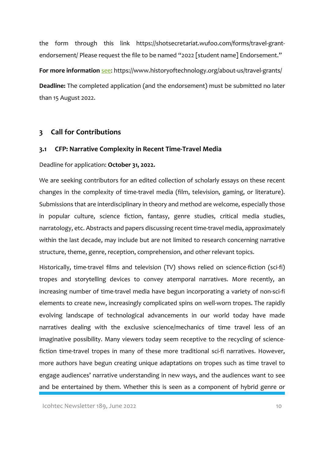the form through this link https://shotsecretariat.wufoo.com/forms/travel-grantendorsement/ Please request the file to be named "2022 [student name] Endorsement." **For more information** see: https://www.historyoftechnology.org/about-us/travel-grants/ **Deadline:** The completed application (and the endorsement) must be submitted no later than 15 August 2022.

### **3 Call for Contributions**

#### **3.1 CFP: Narrative Complexity in Recent Time-Travel Media**

Deadline for application: **October 31, 2022.**

We are seeking contributors for an edited collection of scholarly essays on these recent changes in the complexity of time-travel media (film, television, gaming, or literature). Submissions that are interdisciplinary in theory and method are welcome, especially those in popular culture, science fiction, fantasy, genre studies, critical media studies, narratology, etc. Abstracts and papers discussing recent time-travel media, approximately within the last decade, may include but are not limited to research concerning narrative structure, theme, genre, reception, comprehension, and other relevant topics.

Historically, time-travel films and television (TV) shows relied on science-fiction (sci-fi) tropes and storytelling devices to convey atemporal narratives. More recently, an increasing number of time-travel media have begun incorporating a variety of non-sci-fi elements to create new, increasingly complicated spins on well-worn tropes. The rapidly evolving landscape of technological advancements in our world today have made narratives dealing with the exclusive science/mechanics of time travel less of an imaginative possibility. Many viewers today seem receptive to the recycling of sciencefiction time-travel tropes in many of these more traditional sci-fi narratives. However, more authors have begun creating unique adaptations on tropes such as time travel to engage audiences' narrative understanding in new ways, and the audiences want to see and be entertained by them. Whether this is seen as a component of hybrid genre or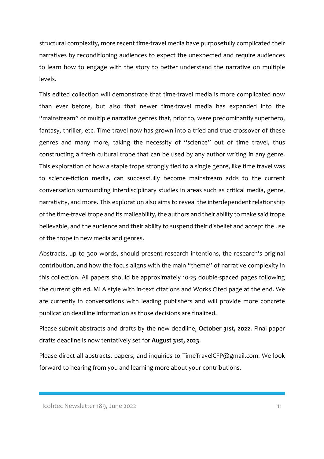structural complexity, more recent time-travel media have purposefully complicated their narratives by reconditioning audiences to expect the unexpected and require audiences to learn how to engage with the story to better understand the narrative on multiple levels.

This edited collection will demonstrate that time-travel media is more complicated now than ever before, but also that newer time-travel media has expanded into the "mainstream" of multiple narrative genres that, prior to, were predominantly superhero, fantasy, thriller, etc. Time travel now has grown into a tried and true crossover of these genres and many more, taking the necessity of "science" out of time travel, thus constructing a fresh cultural trope that can be used by any author writing in any genre. This exploration of how a staple trope strongly tied to a single genre, like time travel was to science-fiction media, can successfully become mainstream adds to the current conversation surrounding interdisciplinary studies in areas such as critical media, genre, narrativity, and more. This exploration also aims to reveal the interdependent relationship of the time-travel trope and its malleability, the authors and their ability to make said trope believable, and the audience and their ability to suspend their disbelief and accept the use of the trope in new media and genres.

Abstracts, up to 300 words, should present research intentions, the research's original contribution, and how the focus aligns with the main "theme" of narrative complexity in this collection. All papers should be approximately 10-25 double-spaced pages following the current 9th ed. MLA style with in-text citations and Works Cited page at the end. We are currently in conversations with leading publishers and will provide more concrete publication deadline information as those decisions are finalized.

Please submit abstracts and drafts by the new deadline, **October 31st, 2022**. Final paper drafts deadline is now tentatively set for **August 31st, 2023**.

Please direct all abstracts, papers, and inquiries to TimeTravelCFP@gmail.com. We look forward to hearing from you and learning more about your contributions.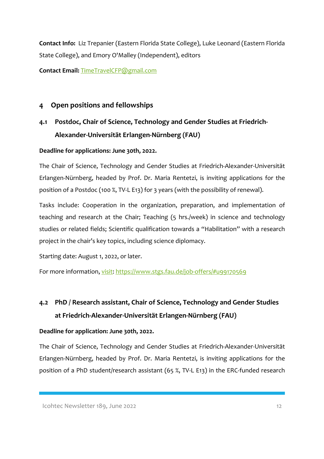**Contact Info:** Liz Trepanier (Eastern Florida State College), Luke Leonard (Eastern Florida State College), and Emory O'Malley (Independent), editors

**Contact Email:** TimeTravelCFP@gmail.com

### **4 Open positions and fellowships**

# **4.1 Postdoc, Chair of Science, Technology and Gender Studies at Friedrich-Alexander-Universität Erlangen-Nürnberg (FAU)**

### **Deadline for applications: June 30th, 2022.**

The Chair of Science, Technology and Gender Studies at Friedrich-Alexander-Universität Erlangen-Nürnberg, headed by Prof. Dr. Maria Rentetzi, is inviting applications for the position of a Postdoc (100 %, TV-L E13) for 3 years (with the possibility of renewal).

Tasks include: Cooperation in the organization, preparation, and implementation of teaching and research at the Chair; Teaching (5 hrs./week) in science and technology studies or related fields; Scientific qualification towards a "Habilitation" with a research project in the chair's key topics, including science diplomacy.

Starting date: August 1, 2022, or later.

For more information, visit: https://www.stgs.fau.de/job-offers/#u99170569

# **4.2 PhD / Research assistant, Chair of Science, Technology and Gender Studies at Friedrich-Alexander-Universität Erlangen-Nürnberg (FAU)**

### **Deadline for application: June 30th, 2022.**

The Chair of Science, Technology and Gender Studies at Friedrich-Alexander-Universität Erlangen-Nürnberg, headed by Prof. Dr. Maria Rentetzi, is inviting applications for the position of a PhD student/research assistant (65 %, TV-L E13) in the ERC-funded research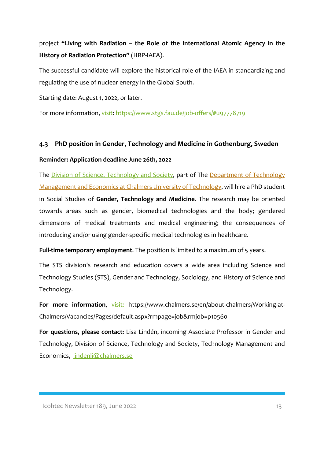project **"Living with Radiation – the Role of the International Atomic Agency in the History of Radiation Protection"** (HRP-IAEA).

The successful candidate will explore the historical role of the IAEA in standardizing and regulating the use of nuclear energy in the Global South.

Starting date: August 1, 2022, or later.

For more information, visit: https://www.stgs.fau.de/job-offers/#u97778719

### **4.3 PhD position in Gender, Technology and Medicine in Gothenburg, Sweden**

### **Reminder: Application deadline June 26th, 2022**

The Division of Science, Technology and Society, part of The Department of Technology Management and Economics at Chalmers University of Technology, will hire a PhD student in Social Studies of **Gender, Technology and Medicine**. The research may be oriented towards areas such as gender, biomedical technologies and the body; gendered dimensions of medical treatments and medical engineering; the consequences of introducing and/or using gender-specific medical technologies in healthcare.

**Full-time temporary employment**. The position is limited to a maximum of 5 years.

The STS division's research and education covers a wide area including Science and Technology Studies (STS), Gender and Technology, Sociology, and History of Science and Technology.

**For more information,** visit: https://www.chalmers.se/en/about-chalmers/Working-at-Chalmers/Vacancies/Pages/default.aspx?rmpage=job&rmjob=p10560

**For questions, please contact:** Lisa Lindén, incoming Associate Professor in Gender and Technology, Division of Science, Technology and Society, Technology Management and Economics, lindenli@chalmers.se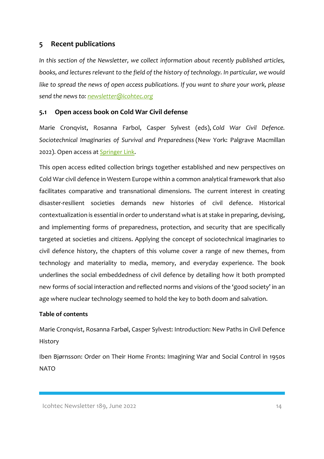### **5 Recent publications**

*In this section of the Newsletter, we collect information about recently published articles, books, and lectures relevant to the field of the history of technology. In particular, we would like to spread the news of open access publications. If you want to share your work, please send the news to: newsletter@icohtec.org*

### **5.1 Open access book on Cold War Civil defense**

Marie Cronqvist, Rosanna Farbol, Casper Sylvest (eds), *Cold War Civil Defence. Sociotechnical Imaginaries of Survival and Preparedness* (New York: Palgrave Macmillan 2022). Open access at Springer Link.

This open access edited collection brings together established and new perspectives on Cold War civil defence in Western Europe within a common analytical framework that also facilitates comparative and transnational dimensions. The current interest in creating disaster-resilient societies demands new histories of civil defence. Historical contextualization is essential in order to understand what is at stake in preparing, devising, and implementing forms of preparedness, protection, and security that are specifically targeted at societies and citizens. Applying the concept of sociotechnical imaginaries to civil defence history, the chapters of this volume cover a range of new themes, from technology and materiality to media, memory, and everyday experience. The book underlines the social embeddedness of civil defence by detailing how it both prompted new forms of social interaction and reflected norms and visions of the 'good society' in an age where nuclear technology seemed to hold the key to both doom and salvation.

### **Table of contents**

Marie Cronqvist, Rosanna Farbøl, Casper Sylvest: Introduction: New Paths in Civil Defence History

Iben Bjørnsson: Order on Their Home Fronts: Imagining War and Social Control in 1950s NATO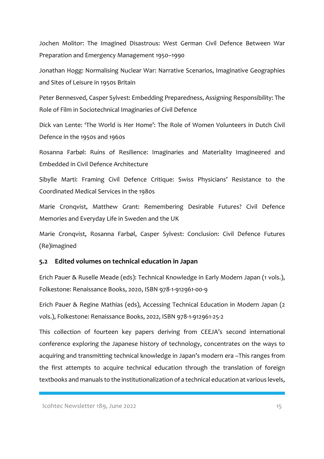Jochen Molitor: The Imagined Disastrous: West German Civil Defence Between War Preparation and Emergency Management 1950–1990

Jonathan Hogg: Normalising Nuclear War: Narrative Scenarios, Imaginative Geographies and Sites of Leisure in 1950s Britain

Peter Bennesved, Casper Sylvest: Embedding Preparedness, Assigning Responsibility: The Role of Film in Sociotechnical Imaginaries of Civil Defence

Dick van Lente: 'The World is Her Home': The Role of Women Volunteers in Dutch Civil Defence in the 1950s and 1960s

Rosanna Farbøl: Ruins of Resilience: Imaginaries and Materiality Imagineered and Embedded in Civil Defence Architecture

Sibylle Marti: Framing Civil Defence Critique: Swiss Physicians' Resistance to the Coordinated Medical Services in the 1980s

Marie Cronqvist, Matthew Grant: Remembering Desirable Futures? Civil Defence Memories and Everyday Life in Sweden and the UK

Marie Cronqvist, Rosanna Farbøl, Casper Sylvest: Conclusion: Civil Defence Futures (Re)imagined

#### **5.2 Edited volumes on technical education in Japan**

Erich Pauer & Ruselle Meade (eds): Technical Knowledge in Early Modern Japan (1 vols.), Folkestone: Renaissance Books, 2020, ISBN 978-1-912961-00-9

Erich Pauer & Regine Mathias (eds), Accessing Technical Education in Modern Japan (2 vols.), Folkestone: Renaissance Books, 2022, ISBN 978-1-912961-25-2

This collection of fourteen key papers deriving from CEEJA's second international conference exploring the Japanese history of technology, concentrates on the ways to acquiring and transmitting technical knowledge in Japan's modern era –This ranges from the first attempts to acquire technical education through the translation of foreign textbooks and manuals to the institutionalization of a technical education at various levels,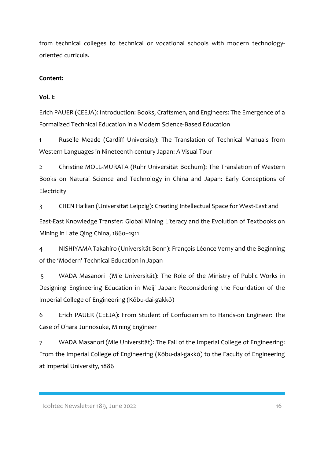from technical colleges to technical or vocational schools with modern technologyoriented curricula.

### **Content:**

### **Vol. I:**

Erich PAUER (CEEJA): Introduction: Books, Craftsmen, and Engineers: The Emergence of a Formalized Technical Education in a Modern Science-Based Education

1 Ruselle Meade (Cardiff University): The Translation of Technical Manuals from Western Languages in Nineteenth-century Japan: A Visual Tour

2 Christine MOLL-MURATA (Ruhr Universität Bochum): The Translation of Western Books on Natural Science and Technology in China and Japan: Early Conceptions of Electricity

3 CHEN Hailian (Universität Leipzig): Creating Intellectual Space for West-East and

East-East Knowledge Transfer: Global Mining Literacy and the Evolution of Textbooks on Mining in Late Qing China, 1860–1911

4 NISHIYAMA Takahiro (Universität Bonn): François Léonce Verny and the Beginning of the 'Modern' Technical Education in Japan

5 WADA Masanori (Mie Universität): The Role of the Ministry of Public Works in Designing Engineering Education in Meiji Japan: Reconsidering the Foundation of the Imperial College of Engineering (Kōbu-dai-gakkō)

6 Erich PAUER (CEEJA): From Student of Confucianism to Hands-on Engineer: The Case of Ōhara Junnosuke, Mining Engineer

7 WADA Masanori (Mie Universität): The Fall of the Imperial College of Engineering: From the Imperial College of Engineering (Kōbu-dai-gakkō) to the Faculty of Engineering at Imperial University, 1886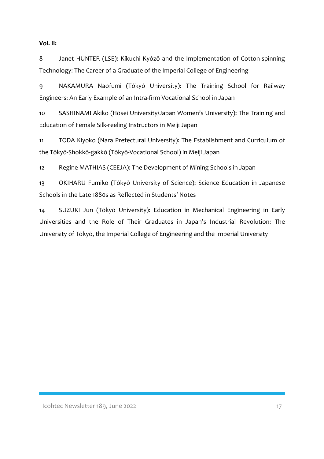### **Vol. II:**

8 Janet HUNTER (LSE): Kikuchi Kyōzō and the Implementation of Cotton-spinning Technology: The Career of a Graduate of the Imperial College of Engineering

9 NAKAMURA Naofumi (Tōkyō University): The Training School for Railway Engineers: An Early Example of an Intra-firm Vocational School in Japan

10 SASHINAMI Akiko (Hōsei University/Japan Women's University): The Training and Education of Female Silk-reeling Instructors in Meiji Japan

11 TODA Kiyoko (Nara Prefectural University): The Establishment and Curriculum of the Tōkyō-Shokkō-gakkō (Tōkyō-Vocational School) in Meiji Japan

12 Regine MATHIAS (CEEJA): The Development of Mining Schools in Japan

13 OKIHARU Fumiko (Tōkyō University of Science): Science Education in Japanese Schools in the Late 1880s as Reflected in Students' Notes

14 SUZUKI Jun (Tōkyō University): Education in Mechanical Engineering in Early Universities and the Role of Their Graduates in Japan's Industrial Revolution: The University of Tōkyō, the Imperial College of Engineering and the Imperial University